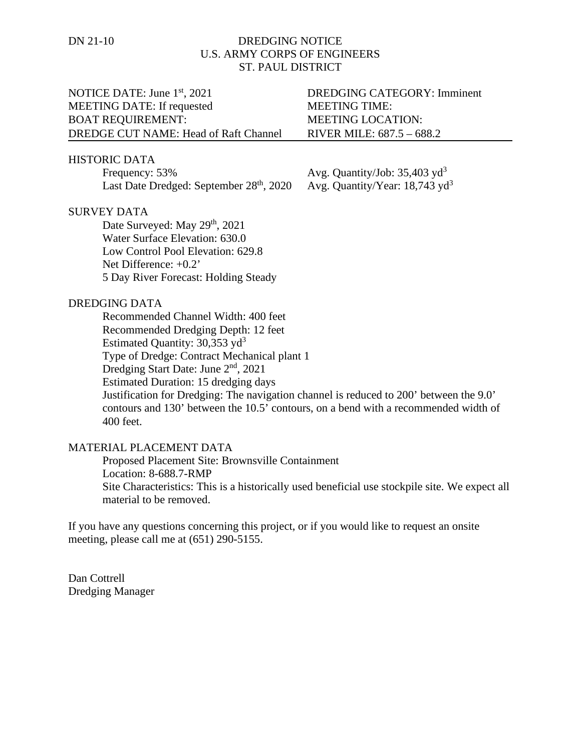# DN 21-10 DREDGING NOTICE U.S. ARMY CORPS OF ENGINEERS ST. PAUL DISTRICT

# NOTICE DATE: June 1<sup>st</sup>, 2021 DREDGING CATEGORY: Imminent MEETING DATE: If requested MEETING TIME: BOAT REQUIREMENT: MEETING LOCATION: DREDGE CUT NAME: Head of Raft Channel RIVER MILE: 687.5 – 688.2

## HISTORIC DATA

Frequency:  $53\%$  Avg. Quantity/Job:  $35,403 \text{ yd}^3$ Last Date Dredged: September  $28<sup>th</sup>$ , 2020 Avg. Quantity/Year: 18,743 yd<sup>3</sup>

# SURVEY DATA

Date Surveyed: May 29<sup>th</sup>, 2021 Water Surface Elevation: 630.0 Low Control Pool Elevation: 629.8 Net Difference: +0.2' 5 Day River Forecast: Holding Steady

## DREDGING DATA

Recommended Channel Width: 400 feet Recommended Dredging Depth: 12 feet Estimated Quantity:  $30,353$  yd<sup>3</sup> Type of Dredge: Contract Mechanical plant 1 Dredging Start Date: June 2<sup>nd</sup>, 2021 Estimated Duration: 15 dredging days Justification for Dredging: The navigation channel is reduced to 200' between the 9.0' contours and 130' between the 10.5' contours, on a bend with a recommended width of 400 feet.

## MATERIAL PLACEMENT DATA

Proposed Placement Site: Brownsville Containment Location: 8-688.7-RMP Site Characteristics: This is a historically used beneficial use stockpile site. We expect all material to be removed.

If you have any questions concerning this project, or if you would like to request an onsite meeting, please call me at (651) 290-5155.

Dan Cottrell Dredging Manager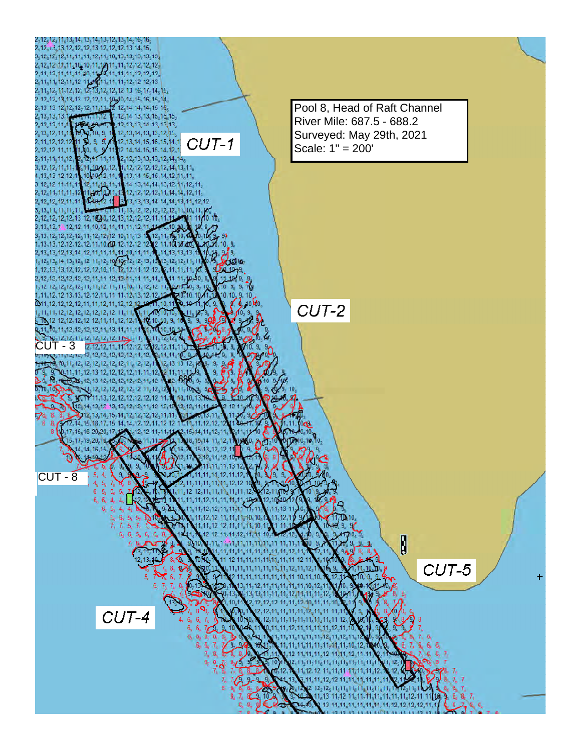